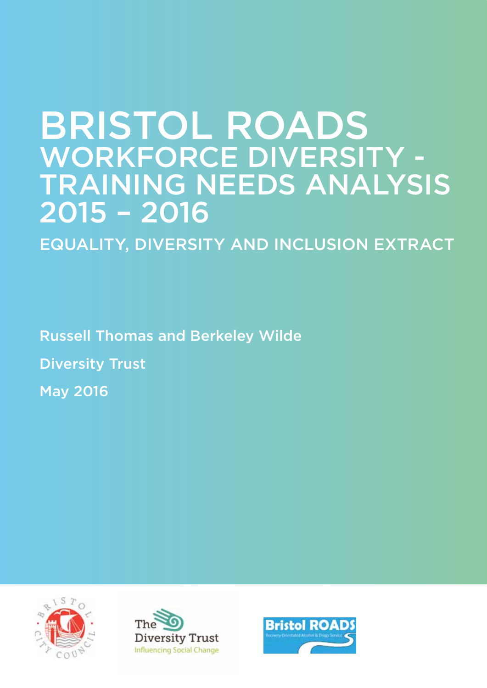# BRISTOL ROADS WORKFORCE DIVERSITY - TRAINING NEEDS ANALYSIS 2015 – 2016

EQUALITY, DIVERSITY AND INCLUSION EXTRACT

Russell Thomas and Berkeley Wilde

Diversity Trust

May 2016





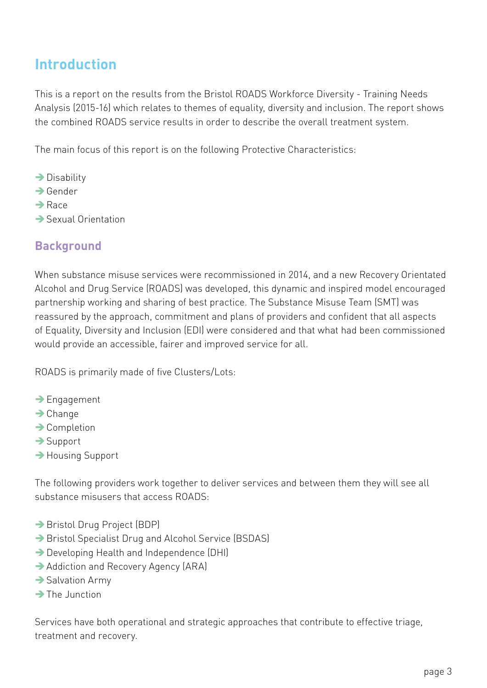# **Introduction**

This is a report on the results from the Bristol ROADS Workforce Diversity - Training Needs Analysis (2015-16) which relates to themes of equality, diversity and inclusion. The report shows the combined ROADS service results in order to describe the overall treatment system.

The main focus of this report is on the following Protective Characteristics:

- $\rightarrow$  Disability
- $\rightarrow$  Gender
- $\rightarrow$ Race
- $\rightarrow$  Sexual Orientation

## **Background**

When substance misuse services were recommissioned in 2014, and a new Recovery Orientated Alcohol and Drug Service (ROADS) was developed, this dynamic and inspired model encouraged partnership working and sharing of best practice. The Substance Misuse Team (SMT) was reassured by the approach, commitment and plans of providers and confident that all aspects of Equality, Diversity and Inclusion (EDI) were considered and that what had been commissioned would provide an accessible, fairer and improved service for all.

ROADS is primarily made of five Clusters/Lots:

- $\rightarrow$  Engagement
- $\rightarrow$  Change
- $\rightarrow$  Completion
- $\rightarrow$  Support
- Housing Support

The following providers work together to deliver services and between them they will see all substance misusers that access ROADS:

- → Bristol Drug Project (BDP)
- → Bristol Specialist Drug and Alcohol Service (BSDAS)
- $\rightarrow$  Developing Health and Independence (DHI)
- Addiction and Recovery Agency (ARA)
- $\rightarrow$  Salvation Army
- $\rightarrow$  The Junction

Services have both operational and strategic approaches that contribute to effective triage, treatment and recovery.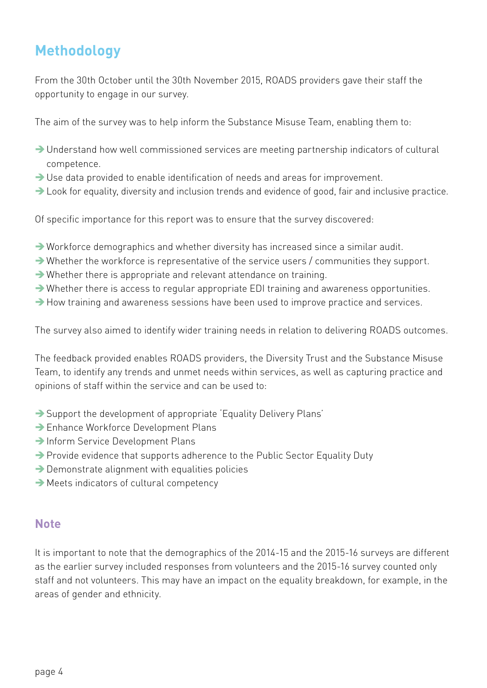# **Methodology**

From the 30th October until the 30th November 2015, ROADS providers gave their staff the opportunity to engage in our survey.

The aim of the survey was to help inform the Substance Misuse Team, enabling them to:

- $\rightarrow$  Understand how well commissioned services are meeting partnership indicators of cultural competence.
- $\rightarrow$  Use data provided to enable identification of needs and areas for improvement.
- $\rightarrow$  Look for equality, diversity and inclusion trends and evidence of good, fair and inclusive practice.

Of specific importance for this report was to ensure that the survey discovered:

- $\rightarrow$  Workforce demographics and whether diversity has increased since a similar audit.
- $\rightarrow$  Whether the workforce is representative of the service users / communities they support.
- $\rightarrow$  Whether there is appropriate and relevant attendance on training.
- $\rightarrow$  Whether there is access to regular appropriate EDI training and awareness opportunities.
- $\rightarrow$  How training and awareness sessions have been used to improve practice and services.

The survey also aimed to identify wider training needs in relation to delivering ROADS outcomes.

The feedback provided enables ROADS providers, the Diversity Trust and the Substance Misuse Team, to identify any trends and unmet needs within services, as well as capturing practice and opinions of staff within the service and can be used to:

- $\rightarrow$  Support the development of appropriate 'Equality Delivery Plans'
- → Enhance Workforce Development Plans
- Inform Service Development Plans
- → Provide evidence that supports adherence to the Public Sector Equality Duty
- $\rightarrow$  Demonstrate alignment with equalities policies
- $\rightarrow$  Meets indicators of cultural competency

## **Note**

It is important to note that the demographics of the 2014-15 and the 2015-16 surveys are different as the earlier survey included responses from volunteers and the 2015-16 survey counted only staff and not volunteers. This may have an impact on the equality breakdown, for example, in the areas of gender and ethnicity.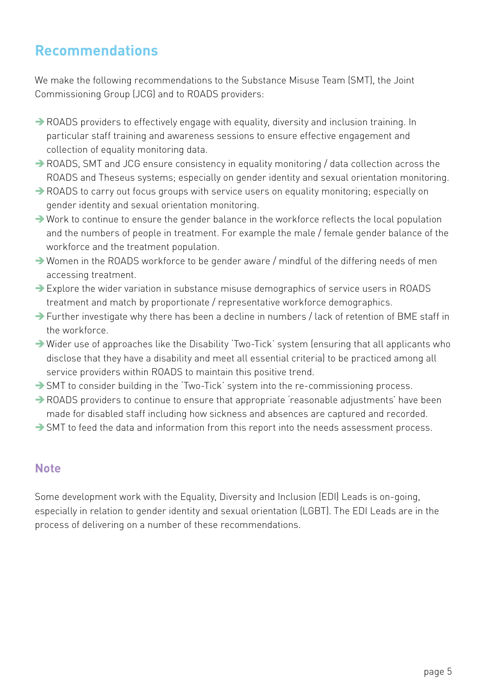## **Recommendations**

We make the following recommendations to the Substance Misuse Team (SMT), the Joint Commissioning Group (JCG) and to ROADS providers:

- $\rightarrow$  ROADS providers to effectively engage with equality, diversity and inclusion training. In particular staff training and awareness sessions to ensure effective engagement and collection of equality monitoring data.
- $\rightarrow$  ROADS, SMT and JCG ensure consistency in equality monitoring / data collection across the ROADS and Theseus systems; especially on gender identity and sexual orientation monitoring.
- $\rightarrow$  ROADS to carry out focus groups with service users on equality monitoring; especially on gender identity and sexual orientation monitoring.
- $\rightarrow$  Work to continue to ensure the gender balance in the workforce reflects the local population and the numbers of people in treatment. For example the male / female gender balance of the workforce and the treatment population.
- $\rightarrow$  Women in the ROADS workforce to be gender aware / mindful of the differing needs of men accessing treatment.
- $\rightarrow$  Explore the wider variation in substance misuse demographics of service users in ROADS treatment and match by proportionate / representative workforce demographics.
- $\rightarrow$  Further investigate why there has been a decline in numbers / lack of retention of BME staff in the workforce.
- $\rightarrow$  Wider use of approaches like the Disability 'Two-Tick' system (ensuring that all applicants who disclose that they have a disability and meet all essential criteria) to be practiced among all service providers within ROADS to maintain this positive trend.
- $\rightarrow$  SMT to consider building in the 'Two-Tick' system into the re-commissioning process.
- $\rightarrow$  ROADS providers to continue to ensure that appropriate 'reasonable adjustments' have been made for disabled staff including how sickness and absences are captured and recorded.
- $\rightarrow$  SMT to feed the data and information from this report into the needs assessment process.

#### **Note**

Some development work with the Equality, Diversity and Inclusion (EDI) Leads is on-going, especially in relation to gender identity and sexual orientation (LGBT). The EDI Leads are in the process of delivering on a number of these recommendations.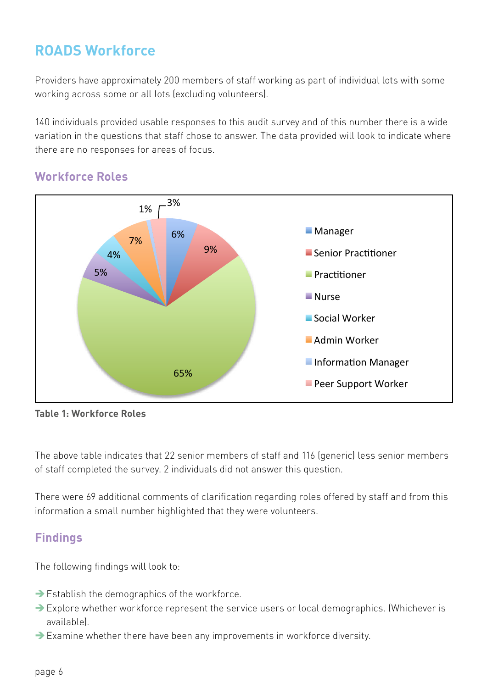## **ROADS Workforce**

Providers have approximately 200 members of staff working as part of individual lots with some working across some or all lots (excluding volunteers). Information Manager part of mannadat tots

140 individuals provided usable responses to this audit survey and of this number there is a wide variation in the questions that staff chose to answer. The data provided will look to indicate where there are no responses for areas of focus.

## **Workforce Roles**



**Table 1: Workforce Roles**

The above table indicates that 22 senior members of staff and 116 (generic) less senior members of staff completed the survey. 2 individuals did not answer this question.

There were 69 additional comments of clarification regarding roles offered by staff and from this information a small number highlighted that they were volunteers.

#### **Findings**

The following findings will look to:

- $\rightarrow$  Establish the demographics of the workforce.
- ÎExplore whether workforce represent the service users or local demographics. (Whichever is available).
- $\rightarrow$  Examine whether there have been any improvements in workforce diversity.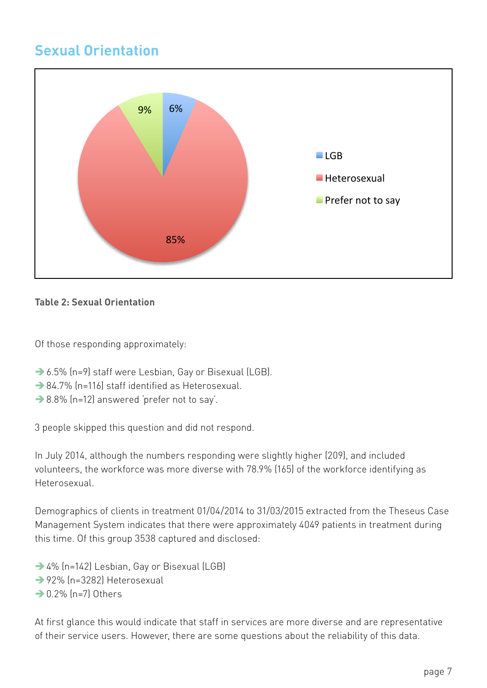## **Sexual Orientation**



#### **Table 2: Sexual Orientation**

Of those responding approximately:

- → 6.5% (n=9) staff were Lesbian, Gay or Bisexual (LGB).
- $\rightarrow$  84.7% (n=116) staff identified as Heterosexual.
- $\rightarrow$  8.8% (n=12) answered 'prefer not to say'.

3 people skipped this question and did not respond.

In July 2014, although the numbers responding were slightly higher (209), and included volunteers, the workforce was more diverse with 78.9% (165) of the workforce identifying as Heterosexual.

Demographics of clients in treatment 01/04/2014 to 31/03/2015 extracted from the Theseus Case Management System indicates that there were approximately 4049 patients in treatment during this time. Of this group 3538 captured and disclosed:

→ 4% (n=142) Lesbian, Gay or Bisexual (LGB)  $\rightarrow$  92% (n=3282) Heterosexual  $\rightarrow$  0.2% (n=7) Others

At first glance this would indicate that staff in services are more diverse and are representative of their service users. However, there are some questions about the reliability of this data.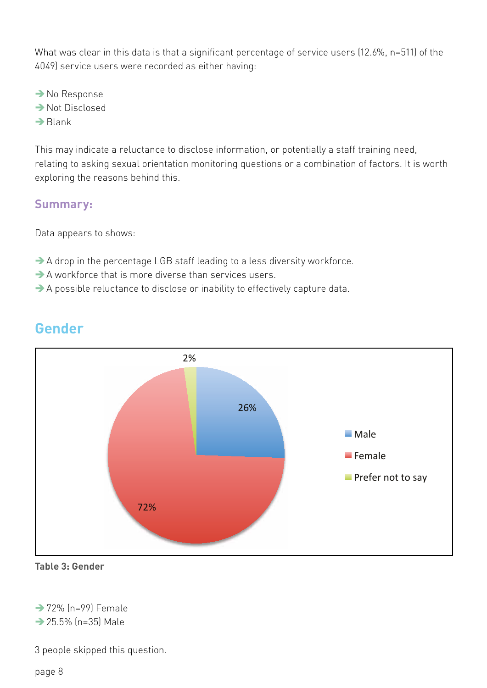What was clear in this data is that a significant percentage of service users (12.6%, n=511) of the 4049) service users were recorded as either having:

 $\rightarrow$  No Response  $\rightarrow$  Not Disclosed  $\rightarrow$ Blank

This may indicate a reluctance to disclose information, or potentially a staff training need, relating to asking sexual orientation monitoring questions or a combination of factors. It is worth exploring the reasons behind this.

#### **Summary:**

Data appears to shows:

- $\rightarrow$  A drop in the percentage LGB staff leading to a less diversity workforce.
- $\rightarrow$  A workforce that is more diverse than services users.
- $\rightarrow$  A possible reluctance to disclose or inability to effectively capture data.



## **Gender**

#### **Table 3: Gender**

 $\rightarrow$  72% (n=99) Female

 $\rightarrow$  25.5% (n=35) Male

3 people skipped this question.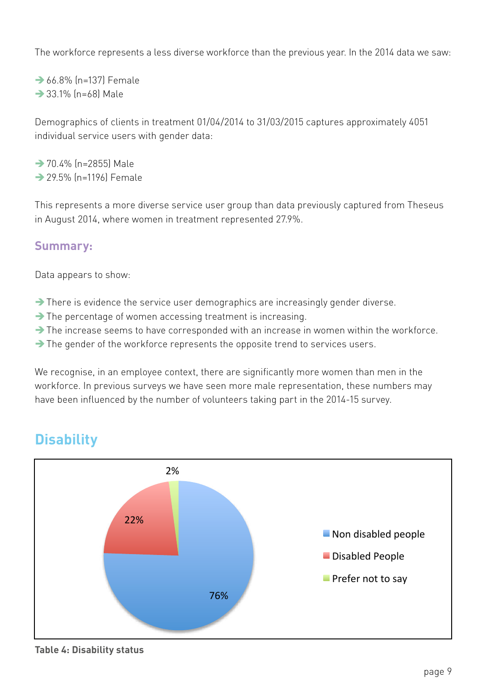The workforce represents a less diverse workforce than the previous year. In the 2014 data we saw:

 $\rightarrow$  66.8% (n=137) Female  $\rightarrow$  33.1% (n=68) Male

Demographics of clients in treatment 01/04/2014 to 31/03/2015 captures approximately 4051 individual service users with gender data:

 $\rightarrow$  70.4% (n=2855) Male  $\rightarrow$  29.5% (n=1196) Female

This represents a more diverse service user group than data previously captured from Theseus in August 2014, where women in treatment represented 27.9%.

#### **Summary:**

Data appears to show:

- $\rightarrow$  There is evidence the service user demographics are increasingly gender diverse.
- $\rightarrow$  The percentage of women accessing treatment is increasing.
- $\rightarrow$  The increase seems to have corresponded with an increase in women within the workforce.
- $\rightarrow$  The gender of the workforce represents the opposite trend to services users.

We recognise, in an employee context, there are significantly more women than men in the workforce. In previous surveys we have seen more male representation, these numbers may have been influenced by the number of volunteers taking part in the 2014-15 survey.

## **Disability**



**Table 4: Disability status**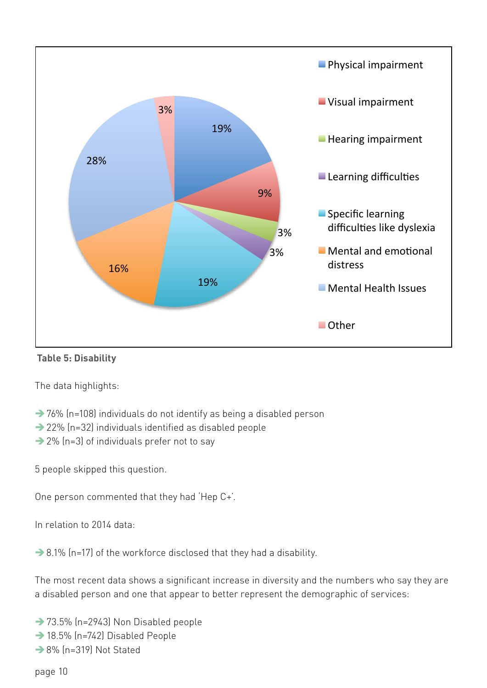



The data highlights:

- $\rightarrow$  76% (n=108) individuals do not identify as being a disabled person
- $\rightarrow$  22% (n=32) individuals identified as disabled people
- $\rightarrow$  2% (n=3) of individuals prefer not to say

5 people skipped this question.

One person commented that they had 'Hep C+'.

In relation to 2014 data:

 $\rightarrow$  8.1% (n=17) of the workforce disclosed that they had a disability.

The most recent data shows a significant increase in diversity and the numbers who say they are a disabled person and one that appear to better represent the demographic of services:

- $\rightarrow$  73.5% (n=2943) Non Disabled people
- $\rightarrow$  18.5% (n=742) Disabled People
- $\rightarrow$  8% (n=319) Not Stated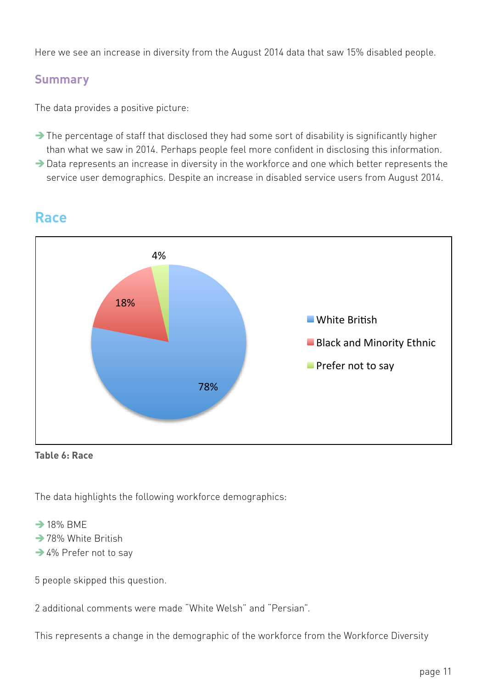Here we see an increase in diversity from the August 2014 data that saw 15% disabled people.

#### **Summary**

The data provides a positive picture:

- $\rightarrow$  The percentage of staff that disclosed they had some sort of disability is significantly higher than what we saw in 2014. Perhaps people feel more confident in disclosing this information.
- $\rightarrow$  Data represents an increase in diversity in the workforce and one which better represents the service user demographics. Despite an increase in disabled service users from August 2014.



## **Race**

**Table 6: Race**

The data highlights the following workforce demographics:<br>**Black** 

#### $\rightarrow$  18% BMF

- $\rightarrow$  78% White British
- $\rightarrow$  4% Prefer not to say

5 people skipped this question.

2 additional comments were made "White Welsh" and "Persian".

This represents a change in the demographic of the workforce from the Workforce Diversity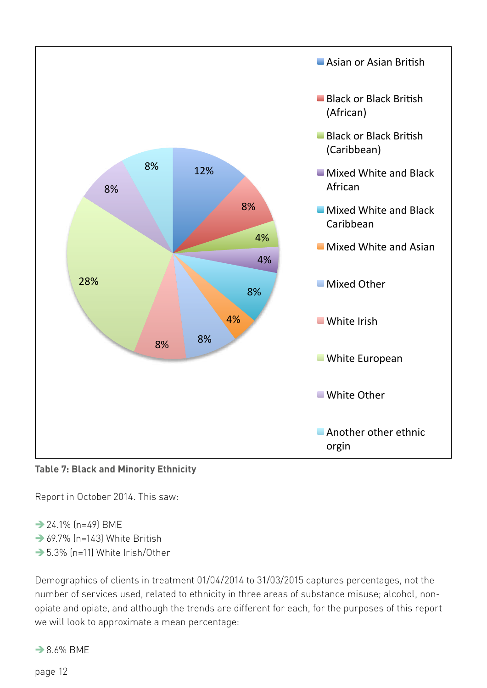

**Table 7: Black and Minority Ethnicity**

Report in October 2014. This saw:

- $\rightarrow$  24.1% (n=49) BME
- $\rightarrow$  69.7% (n=143) White British
- $\rightarrow$  5.3% (n=11) White Irish/Other

Demographics of clients in treatment 01/04/2014 to 31/03/2015 captures percentages, not the number of services used, related to ethnicity in three areas of substance misuse; alcohol, nonopiate and opiate, and although the trends are different for each, for the purposes of this report we will look to approximate a mean percentage:

 $\rightarrow$  8.6% BMF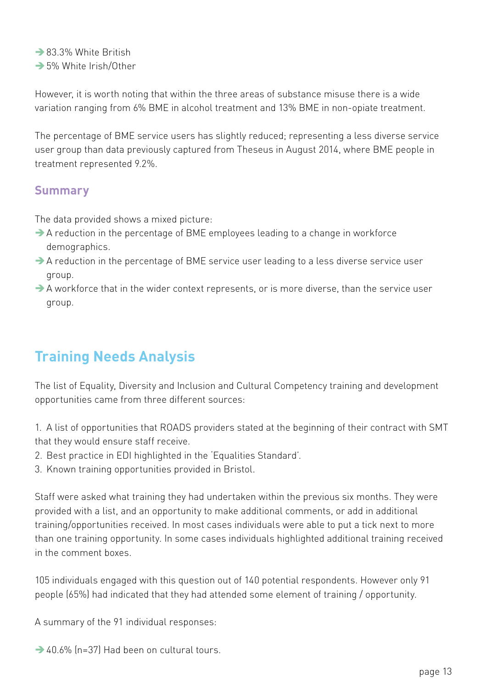$\rightarrow$  83.3% White British

 $\rightarrow$  5% White Irish/Other

However, it is worth noting that within the three areas of substance misuse there is a wide variation ranging from 6% BME in alcohol treatment and 13% BME in non-opiate treatment.

The percentage of BME service users has slightly reduced; representing a less diverse service user group than data previously captured from Theseus in August 2014, where BME people in treatment represented 9.2%.

#### **Summary**

The data provided shows a mixed picture:

- $\rightarrow$  A reduction in the percentage of BME employees leading to a change in workforce demographics.
- $\rightarrow$  A reduction in the percentage of BME service user leading to a less diverse service user group.
- $\rightarrow$  A workforce that in the wider context represents, or is more diverse, than the service user group.

# **Training Needs Analysis**

The list of Equality, Diversity and Inclusion and Cultural Competency training and development opportunities came from three different sources:

1. A list of opportunities that ROADS providers stated at the beginning of their contract with SMT that they would ensure staff receive.

- 2. Best practice in EDI highlighted in the 'Equalities Standard'.
- 3. Known training opportunities provided in Bristol.

Staff were asked what training they had undertaken within the previous six months. They were provided with a list, and an opportunity to make additional comments, or add in additional training/opportunities received. In most cases individuals were able to put a tick next to more than one training opportunity. In some cases individuals highlighted additional training received in the comment boxes.

105 individuals engaged with this question out of 140 potential respondents. However only 91 people (65%) had indicated that they had attended some element of training / opportunity.

A summary of the 91 individual responses:

 $\rightarrow$  40.6% (n=37) Had been on cultural tours.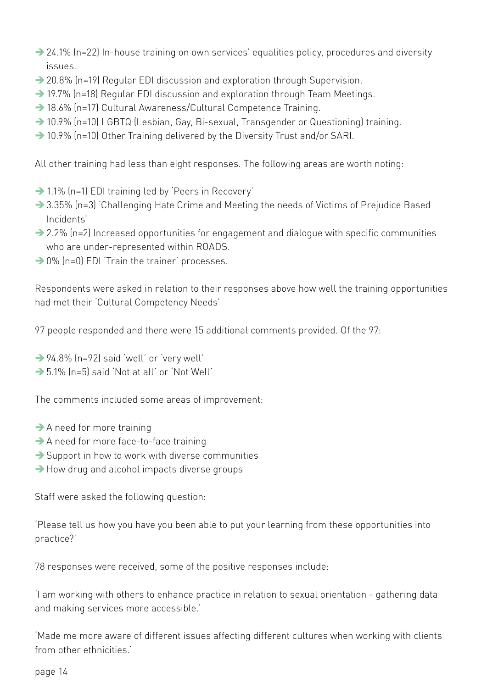- → 24.1% (n=22) In-house training on own services' equalities policy, procedures and diversity issues.
- $\rightarrow$  20.8% (n=19) Regular EDI discussion and exploration through Supervision.
- $\rightarrow$  19.7% (n=18) Regular EDI discussion and exploration through Team Meetings.
- → 18.6% (n=17) Cultural Awareness/Cultural Competence Training.
- → 10.9% (n=10) LGBTQ (Lesbian, Gay, Bi-sexual, Transgender or Questioning) training.
- $\rightarrow$  10.9% (n=10) Other Training delivered by the Diversity Trust and/or SARI.

All other training had less than eight responses. The following areas are worth noting:

- $\rightarrow$  1.1% (n=1) EDI training led by 'Peers in Recovery'
- → 3.35% (n=3) 'Challenging Hate Crime and Meeting the needs of Victims of Prejudice Based Incidents'
- $\rightarrow$  2.2% (n=2) Increased opportunities for engagement and dialogue with specific communities who are under-represented within ROADS.
- $\rightarrow$  0% (n=0) EDI 'Train the trainer' processes.

Respondents were asked in relation to their responses above how well the training opportunities had met their 'Cultural Competency Needs'

97 people responded and there were 15 additional comments provided. Of the 97:

- $\rightarrow$  94.8% (n=92) said 'well' or 'very well'
- $\rightarrow$  5.1% (n=5) said 'Not at all' or 'Not Well'

The comments included some areas of improvement:

- $\rightarrow$  A need for more training
- $\rightarrow$  A need for more face-to-face training
- $\rightarrow$  Support in how to work with diverse communities
- $\rightarrow$  How drug and alcohol impacts diverse groups

Staff were asked the following question:

'Please tell us how you have you been able to put your learning from these opportunities into practice?'

78 responses were received, some of the positive responses include:

'I am working with others to enhance practice in relation to sexual orientation - gathering data and making services more accessible.'

'Made me more aware of different issues affecting different cultures when working with clients from other ethnicities.'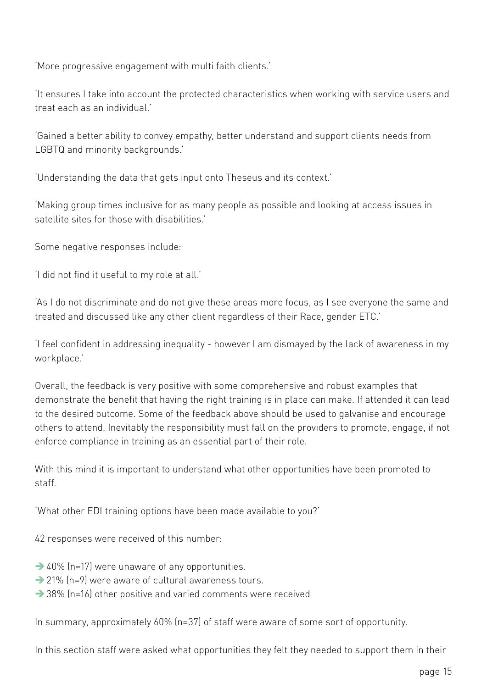'More progressive engagement with multi faith clients.'

'It ensures I take into account the protected characteristics when working with service users and treat each as an individual.'

'Gained a better ability to convey empathy, better understand and support clients needs from LGBTQ and minority backgrounds.'

'Understanding the data that gets input onto Theseus and its context.'

'Making group times inclusive for as many people as possible and looking at access issues in satellite sites for those with disabilities.'

Some negative responses include:

'I did not find it useful to my role at all.'

'As I do not discriminate and do not give these areas more focus, as I see everyone the same and treated and discussed like any other client regardless of their Race, gender ETC.'

'I feel confident in addressing inequality - however I am dismayed by the lack of awareness in my workplace.'

Overall, the feedback is very positive with some comprehensive and robust examples that demonstrate the benefit that having the right training is in place can make. If attended it can lead to the desired outcome. Some of the feedback above should be used to galvanise and encourage others to attend. Inevitably the responsibility must fall on the providers to promote, engage, if not enforce compliance in training as an essential part of their role.

With this mind it is important to understand what other opportunities have been promoted to staff.

'What other EDI training options have been made available to you?'

42 responses were received of this number:

- $\rightarrow$  40% (n=17) were unaware of any opportunities.
- $\rightarrow$  21% (n=9) were aware of cultural awareness tours.
- $\rightarrow$  38% (n=16) other positive and varied comments were received

In summary, approximately 60% (n=37) of staff were aware of some sort of opportunity.

In this section staff were asked what opportunities they felt they needed to support them in their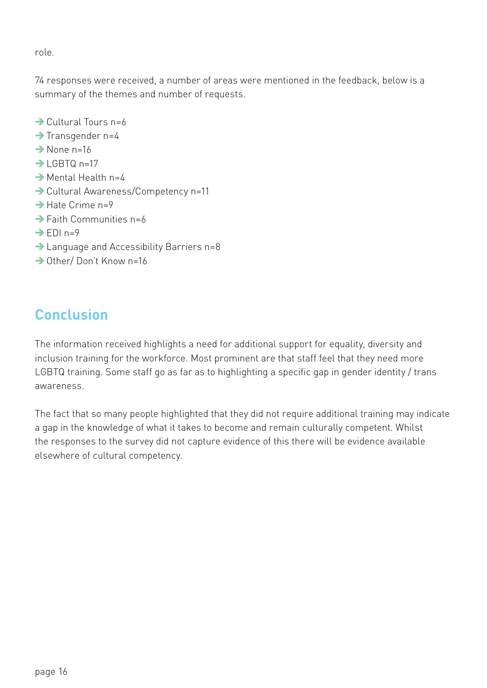role.

74 responses were received, a number of areas were mentioned in the feedback, below is a summary of the themes and number of requests.

- $\rightarrow$  Cultural Tours n=6
- $\rightarrow$  Transgender n=4
- $\rightarrow$ None n=16
- $\rightarrow$ IGBTQ n=17
- $\rightarrow$  Mental Health n=4
- → Cultural Awareness/Competency n=11
- $\rightarrow$  Hate Crime n=9
- $\rightarrow$  Eaith Communities n=6
- $\rightarrow$  EDI n=9
- $\rightarrow$  Language and Accessibility Barriers n=8
- $\rightarrow$  Other/ Don't Know n=16

# **Conclusion**

The information received highlights a need for additional support for equality, diversity and inclusion training for the workforce. Most prominent are that staff feel that they need more LGBTQ training. Some staff go as far as to highlighting a specific gap in gender identity / trans awareness.

The fact that so many people highlighted that they did not require additional training may indicate a gap in the knowledge of what it takes to become and remain culturally competent. Whilst the responses to the survey did not capture evidence of this there will be evidence available elsewhere of cultural competency.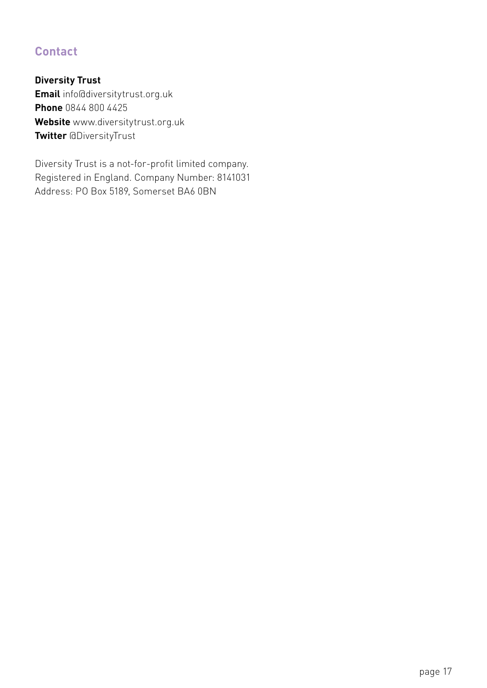## **Contact**

**Diversity Trust Email** info@diversitytrust.org.uk **Phone** 0844 800 4425 **Website** www.diversitytrust.org.uk **Twitter** @DiversityTrust

Diversity Trust is a not-for-profit limited company. Registered in England. Company Number: 8141031 Address: PO Box 5189, Somerset BA6 0BN